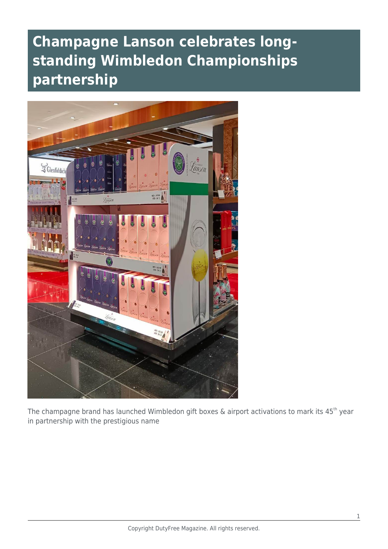## **Champagne Lanson celebrates longstanding Wimbledon Championships partnership**



The champagne brand has launched Wimbledon gift boxes & airport activations to mark its 45<sup>th</sup> year in partnership with the prestigious name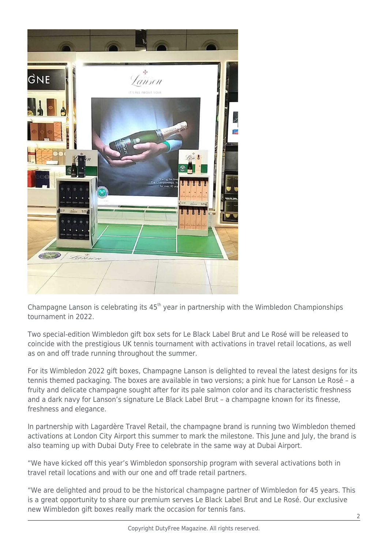

Champagne Lanson is celebrating its 45<sup>th</sup> year in partnership with the Wimbledon Championships tournament in 2022.

Two special-edition Wimbledon gift box sets for Le Black Label Brut and Le Rosé will be released to coincide with the prestigious UK tennis tournament with activations in travel retail locations, as well as on and off trade running throughout the summer.

For its Wimbledon 2022 gift boxes, Champagne Lanson is delighted to reveal the latest designs for its tennis themed packaging. The boxes are available in two versions; a pink hue for Lanson Le Rosé – a fruity and delicate champagne sought after for its pale salmon color and its characteristic freshness and a dark navy for Lanson's signature Le Black Label Brut – a champagne known for its finesse, freshness and elegance.

In partnership with Lagardère Travel Retail, the champagne brand is running two Wimbledon themed activations at London City Airport this summer to mark the milestone. This June and July, the brand is also teaming up with Dubai Duty Free to celebrate in the same way at Dubai Airport.

"We have kicked off this year's Wimbledon sponsorship program with several activations both in travel retail locations and with our one and off trade retail partners.

"We are delighted and proud to be the historical champagne partner of Wimbledon for 45 years. This is a great opportunity to share our premium serves Le Black Label Brut and Le Rosé. Our exclusive new Wimbledon gift boxes really mark the occasion for tennis fans.